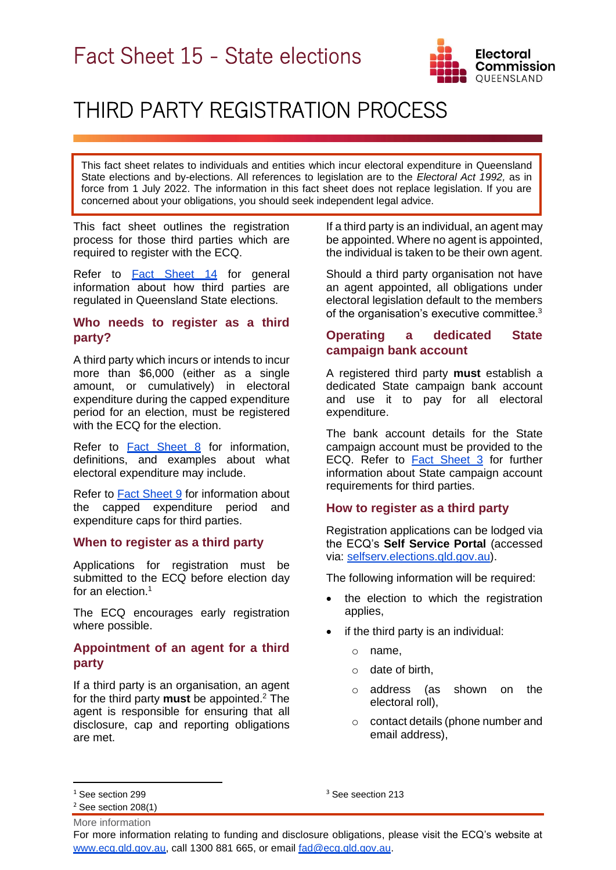

# THIRD PARTY REGISTRATION PROCESS

This fact sheet relates to individuals and entities which incur electoral expenditure in Queensland State elections and by-elections. All references to legislation are to the *Electoral Act 1992,* as in force from 1 July 2022. The information in this fact sheet does not replace legislation. If you are concerned about your obligations, you should seek independent legal advice.

This fact sheet outlines the registration process for those third parties which are required to register with the ECQ.

Refer to **[Fact Sheet 14](https://www.ecq.qld.gov.au/election-participants/handbooks,-fact-sheets-and-forms)** for general information about how third parties are regulated in Queensland State elections.

# **Who needs to register as a third party?**

A third party which incurs or intends to incur more than \$6,000 (either as a single amount, or cumulatively) in electoral expenditure during the capped expenditure period for an election, must be registered with the ECQ for the election.

Refer to [Fact Sheet 8](https://www.ecq.qld.gov.au/election-participants/handbooks,-fact-sheets-and-forms) for information, definitions, and examples about what electoral expenditure may include.

Refer to [Fact Sheet 9](https://www.ecq.qld.gov.au/election-participants/handbooks,-fact-sheets-and-forms) for information about the capped expenditure period and expenditure caps for third parties.

## **When to register as a third party**

Applications for registration must be submitted to the ECQ before election day for an election.<sup>1</sup>

The ECQ encourages early registration where possible.

## **Appointment of an agent for a third party**

If a third party is an organisation, an agent for the third party **must** be appointed. <sup>2</sup> The agent is responsible for ensuring that all disclosure, cap and reporting obligations are met.

If a third party is an individual, an agent may be appointed. Where no agent is appointed, the individual is taken to be their own agent.

Should a third party organisation not have an agent appointed, all obligations under electoral legislation default to the members of the organisation's executive committee.<sup>3</sup>

# **Operating a dedicated State campaign bank account**

A registered third party **must** establish a dedicated State campaign bank account and use it to pay for all electoral expenditure.

The bank account details for the State campaign account must be provided to the ECQ. Refer to [Fact Sheet 3](https://www.ecq.qld.gov.au/election-participants/handbooks,-fact-sheets-and-forms) for further information about State campaign account requirements for third parties.

#### **How to register as a third party**

Registration applications can be lodged via the ECQ's **Self Service Portal** (accessed via: [selfserv.elections.qld.gov.au\)](https://selfserv.elections.qld.gov.au/).

The following information will be required:

- the election to which the registration applies,
- if the third party is an individual:
	- o name,
	- o date of birth,
	- o address (as shown on the electoral roll),
	- o contact details (phone number and email address),

<sup>3</sup> See seection 213

For more information relating to funding and disclosure obligations, please visit the ECQ's website at [www.ecq.qld.gov.au,](http://www.ecq.qld.gov.au/) call 1300 881 665, or email [fad@ecq.qld.gov.au.](mailto:fad@ecq.qld.gov.au)

<sup>&</sup>lt;sup>1</sup> See section 299

 $2$  See section  $208(1)$ 

More information